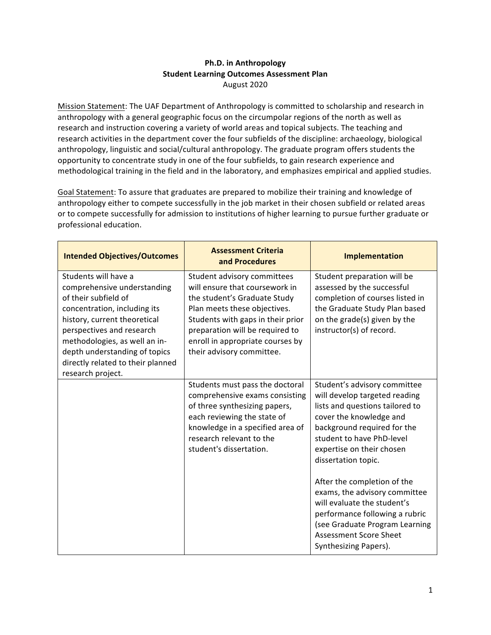## **Ph.D.** in Anthropology **Student Learning Outcomes Assessment Plan** August 2020

Mission Statement: The UAF Department of Anthropology is committed to scholarship and research in anthropology with a general geographic focus on the circumpolar regions of the north as well as research and instruction covering a variety of world areas and topical subjects. The teaching and research activities in the department cover the four subfields of the discipline: archaeology, biological anthropology, linguistic and social/cultural anthropology. The graduate program offers students the opportunity to concentrate study in one of the four subfields, to gain research experience and methodological training in the field and in the laboratory, and emphasizes empirical and applied studies.

Goal Statement: To assure that graduates are prepared to mobilize their training and knowledge of anthropology either to compete successfully in the job market in their chosen subfield or related areas or to compete successfully for admission to institutions of higher learning to pursue further graduate or professional education.

| <b>Intended Objectives/Outcomes</b>                                                                                                                                                                                                                                                                  | <b>Assessment Criteria</b><br>and Procedures                                                                                                                                                                                                                           | <b>Implementation</b>                                                                                                                                                                                                                       |
|------------------------------------------------------------------------------------------------------------------------------------------------------------------------------------------------------------------------------------------------------------------------------------------------------|------------------------------------------------------------------------------------------------------------------------------------------------------------------------------------------------------------------------------------------------------------------------|---------------------------------------------------------------------------------------------------------------------------------------------------------------------------------------------------------------------------------------------|
| Students will have a<br>comprehensive understanding<br>of their subfield of<br>concentration, including its<br>history, current theoretical<br>perspectives and research<br>methodologies, as well an in-<br>depth understanding of topics<br>directly related to their planned<br>research project. | Student advisory committees<br>will ensure that coursework in<br>the student's Graduate Study<br>Plan meets these objectives.<br>Students with gaps in their prior<br>preparation will be required to<br>enroll in appropriate courses by<br>their advisory committee. | Student preparation will be<br>assessed by the successful<br>completion of courses listed in<br>the Graduate Study Plan based<br>on the grade(s) given by the<br>instructor(s) of record.                                                   |
|                                                                                                                                                                                                                                                                                                      | Students must pass the doctoral<br>comprehensive exams consisting<br>of three synthesizing papers,<br>each reviewing the state of<br>knowledge in a specified area of<br>research relevant to the<br>student's dissertation.                                           | Student's advisory committee<br>will develop targeted reading<br>lists and questions tailored to<br>cover the knowledge and<br>background required for the<br>student to have PhD-level<br>expertise on their chosen<br>dissertation topic. |
|                                                                                                                                                                                                                                                                                                      |                                                                                                                                                                                                                                                                        | After the completion of the<br>exams, the advisory committee<br>will evaluate the student's<br>performance following a rubric<br>(see Graduate Program Learning<br><b>Assessment Score Sheet</b><br>Synthesizing Papers).                   |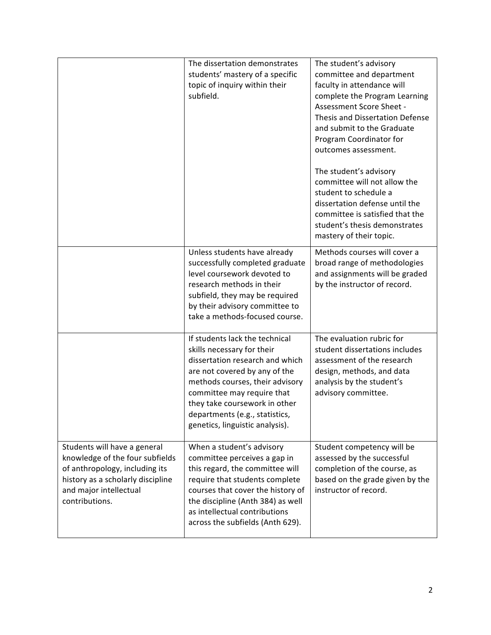|                                                                                                                                                                                    | The dissertation demonstrates<br>students' mastery of a specific<br>topic of inquiry within their<br>subfield.                                                                                                                                                                                          | The student's advisory<br>committee and department<br>faculty in attendance will<br>complete the Program Learning<br>Assessment Score Sheet -<br>Thesis and Dissertation Defense<br>and submit to the Graduate<br>Program Coordinator for<br>outcomes assessment.<br>The student's advisory<br>committee will not allow the<br>student to schedule a<br>dissertation defense until the<br>committee is satisfied that the<br>student's thesis demonstrates<br>mastery of their topic. |
|------------------------------------------------------------------------------------------------------------------------------------------------------------------------------------|---------------------------------------------------------------------------------------------------------------------------------------------------------------------------------------------------------------------------------------------------------------------------------------------------------|---------------------------------------------------------------------------------------------------------------------------------------------------------------------------------------------------------------------------------------------------------------------------------------------------------------------------------------------------------------------------------------------------------------------------------------------------------------------------------------|
|                                                                                                                                                                                    | Unless students have already<br>successfully completed graduate<br>level coursework devoted to<br>research methods in their<br>subfield, they may be required<br>by their advisory committee to<br>take a methods-focused course.                                                                       | Methods courses will cover a<br>broad range of methodologies<br>and assignments will be graded<br>by the instructor of record.                                                                                                                                                                                                                                                                                                                                                        |
|                                                                                                                                                                                    | If students lack the technical<br>skills necessary for their<br>dissertation research and which<br>are not covered by any of the<br>methods courses, their advisory<br>committee may require that<br>they take coursework in other<br>departments (e.g., statistics,<br>genetics, linguistic analysis). | The evaluation rubric for<br>student dissertations includes<br>assessment of the research<br>design, methods, and data<br>analysis by the student's<br>advisory committee.                                                                                                                                                                                                                                                                                                            |
| Students will have a general<br>knowledge of the four subfields<br>of anthropology, including its<br>history as a scholarly discipline<br>and major intellectual<br>contributions. | When a student's advisory<br>committee perceives a gap in<br>this regard, the committee will<br>require that students complete<br>courses that cover the history of<br>the discipline (Anth 384) as well<br>as intellectual contributions<br>across the subfields (Anth 629).                           | Student competency will be<br>assessed by the successful<br>completion of the course, as<br>based on the grade given by the<br>instructor of record.                                                                                                                                                                                                                                                                                                                                  |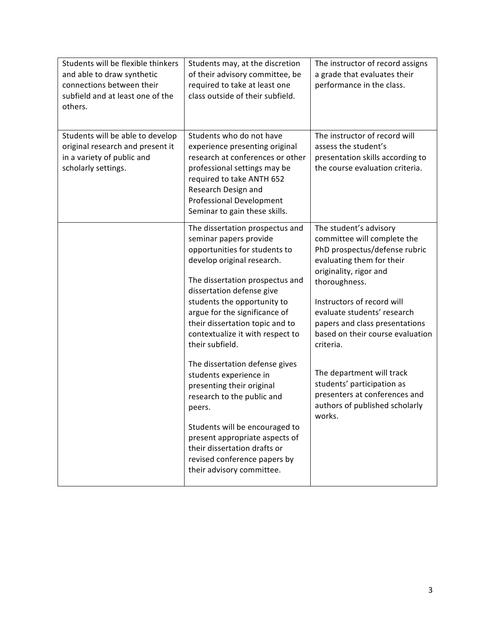| Students will be flexible thinkers<br>and able to draw synthetic<br>connections between their<br>subfield and at least one of the<br>others. | Students may, at the discretion<br>of their advisory committee, be<br>required to take at least one<br>class outside of their subfield.                                                                                                                                                                                                                                                                                                                                                                                                                                                                                                              | The instructor of record assigns<br>a grade that evaluates their<br>performance in the class.                                                                                                                                                                                                                                                                                                                                                          |
|----------------------------------------------------------------------------------------------------------------------------------------------|------------------------------------------------------------------------------------------------------------------------------------------------------------------------------------------------------------------------------------------------------------------------------------------------------------------------------------------------------------------------------------------------------------------------------------------------------------------------------------------------------------------------------------------------------------------------------------------------------------------------------------------------------|--------------------------------------------------------------------------------------------------------------------------------------------------------------------------------------------------------------------------------------------------------------------------------------------------------------------------------------------------------------------------------------------------------------------------------------------------------|
| Students will be able to develop<br>original research and present it<br>in a variety of public and<br>scholarly settings.                    | Students who do not have<br>experience presenting original<br>research at conferences or other<br>professional settings may be<br>required to take ANTH 652<br>Research Design and<br><b>Professional Development</b><br>Seminar to gain these skills.                                                                                                                                                                                                                                                                                                                                                                                               | The instructor of record will<br>assess the student's<br>presentation skills according to<br>the course evaluation criteria.                                                                                                                                                                                                                                                                                                                           |
|                                                                                                                                              | The dissertation prospectus and<br>seminar papers provide<br>opportunities for students to<br>develop original research.<br>The dissertation prospectus and<br>dissertation defense give<br>students the opportunity to<br>argue for the significance of<br>their dissertation topic and to<br>contextualize it with respect to<br>their subfield.<br>The dissertation defense gives<br>students experience in<br>presenting their original<br>research to the public and<br>peers.<br>Students will be encouraged to<br>present appropriate aspects of<br>their dissertation drafts or<br>revised conference papers by<br>their advisory committee. | The student's advisory<br>committee will complete the<br>PhD prospectus/defense rubric<br>evaluating them for their<br>originality, rigor and<br>thoroughness.<br>Instructors of record will<br>evaluate students' research<br>papers and class presentations<br>based on their course evaluation<br>criteria.<br>The department will track<br>students' participation as<br>presenters at conferences and<br>authors of published scholarly<br>works. |